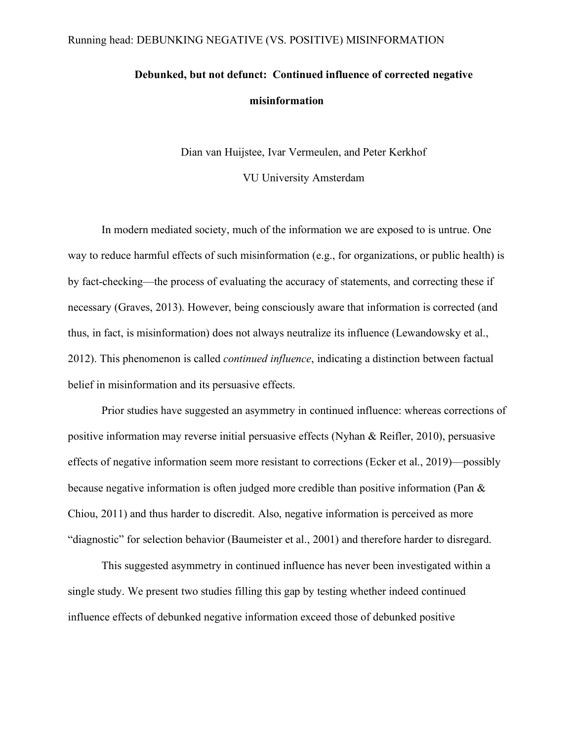## Running head: DEBUNKING NEGATIVE (VS. POSITIVE) MISINFORMATION

# **Debunked, but not defunct: Continued influence of corrected negative misinformation**

Dian van Huijstee, Ivar Vermeulen, and Peter Kerkhof

VU University Amsterdam

In modern mediated society, much of the information we are exposed to is untrue. One way to reduce harmful effects of such misinformation (e.g., for organizations, or public health) is by fact-checking—the process of evaluating the accuracy of statements, and correcting these if necessary (Graves, 2013). However, being consciously aware that information is corrected (and thus, in fact, is misinformation) does not always neutralize its influence (Lewandowsky et al., 2012). This phenomenon is called *continued influence*, indicating a distinction between factual belief in misinformation and its persuasive effects.

Prior studies have suggested an asymmetry in continued influence: whereas corrections of positive information may reverse initial persuasive effects (Nyhan & Reifler, 2010), persuasive effects of negative information seem more resistant to corrections (Ecker et al., 2019)—possibly because negative information is often judged more credible than positive information (Pan & Chiou, 2011) and thus harder to discredit. Also, negative information is perceived as more "diagnostic" for selection behavior (Baumeister et al., 2001) and therefore harder to disregard.

This suggested asymmetry in continued influence has never been investigated within a single study. We present two studies filling this gap by testing whether indeed continued influence effects of debunked negative information exceed those of debunked positive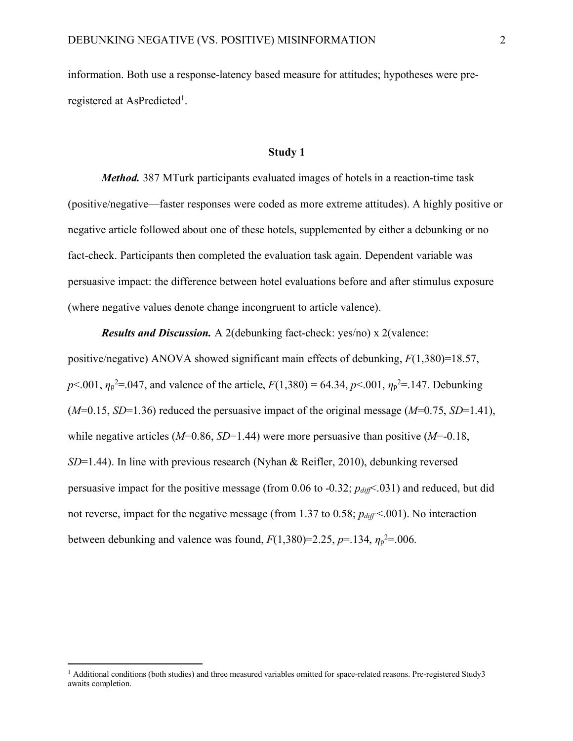information. Both use a response-latency based measure for attitudes; hypotheses were preregistered at AsPredicted<sup>1</sup>.

#### **Study 1**

*Method.* 387 MTurk participants evaluated images of hotels in a reaction-time task (positive/negative—faster responses were coded as more extreme attitudes). A highly positive or negative article followed about one of these hotels, supplemented by either a debunking or no fact-check. Participants then completed the evaluation task again. Dependent variable was persuasive impact: the difference between hotel evaluations before and after stimulus exposure (where negative values denote change incongruent to article valence).

*Results and Discussion.* A 2(debunking fact-check: yes/no) x 2(valence:

positive/negative) ANOVA showed significant main effects of debunking, *F*(1,380)=18.57,  $p$ <.001,  $\eta_p^2$ =.047, and valence of the article,  $F(1,380) = 64.34$ ,  $p$ <.001,  $\eta_p^2$ =.147. Debunking (*M*=0.15, *SD*=1.36) reduced the persuasive impact of the original message (*M*=0.75, *SD*=1.41), while negative articles (*M*=0.86, *SD*=1.44) were more persuasive than positive (*M*=-0.18, *SD*=1.44). In line with previous research (Nyhan & Reifler, 2010), debunking reversed persuasive impact for the positive message (from 0.06 to -0.32; *pdiff*<.031) and reduced, but did not reverse, impact for the negative message (from 1.37 to 0.58;  $p_{diff}$  < 001). No interaction between debunking and valence was found,  $F(1,380)=2.25$ ,  $p=.134$ ,  $\eta_p^2=.006$ .

 $\overline{a}$ 

<sup>&</sup>lt;sup>1</sup> Additional conditions (both studies) and three measured variables omitted for space-related reasons. Pre-registered Study3 awaits completion.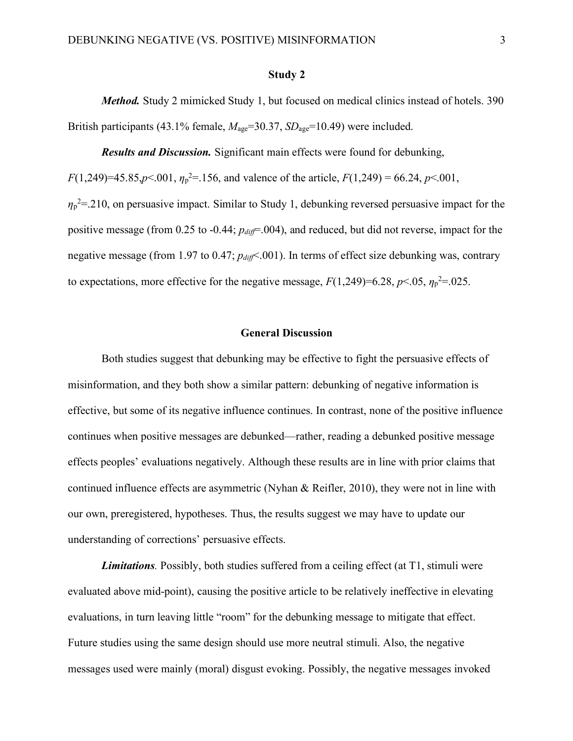#### **Study 2**

*Method.* Study 2 mimicked Study 1, but focused on medical clinics instead of hotels. 390 British participants (43.1% female,  $M_{\text{age}}$ =30.37, *SD*<sub>age</sub>=10.49) were included.

*Results and Discussion.* Significant main effects were found for debunking,

 $F(1,249)=45.85, p<.001, \eta_p^2=156$ , and valence of the article,  $F(1,249)=66.24, p<.001$ ,

 $\eta_p^2$ =.210, on persuasive impact. Similar to Study 1, debunking reversed persuasive impact for the positive message (from 0.25 to -0.44;  $p_{diff}$ =.004), and reduced, but did not reverse, impact for the negative message (from 1.97 to 0.47;  $p_{diff}$ <.001). In terms of effect size debunking was, contrary to expectations, more effective for the negative message,  $F(1,249)=6.28$ ,  $p<.05$ ,  $\eta_p^2=0.025$ .

#### **General Discussion**

Both studies suggest that debunking may be effective to fight the persuasive effects of misinformation, and they both show a similar pattern: debunking of negative information is effective, but some of its negative influence continues. In contrast, none of the positive influence continues when positive messages are debunked—rather, reading a debunked positive message effects peoples' evaluations negatively. Although these results are in line with prior claims that continued influence effects are asymmetric (Nyhan  $\&$  Reifler, 2010), they were not in line with our own, preregistered, hypotheses. Thus, the results suggest we may have to update our understanding of corrections' persuasive effects.

*Limitations.* Possibly, both studies suffered from a ceiling effect (at T1, stimuli were evaluated above mid-point), causing the positive article to be relatively ineffective in elevating evaluations, in turn leaving little "room" for the debunking message to mitigate that effect. Future studies using the same design should use more neutral stimuli. Also, the negative messages used were mainly (moral) disgust evoking. Possibly, the negative messages invoked